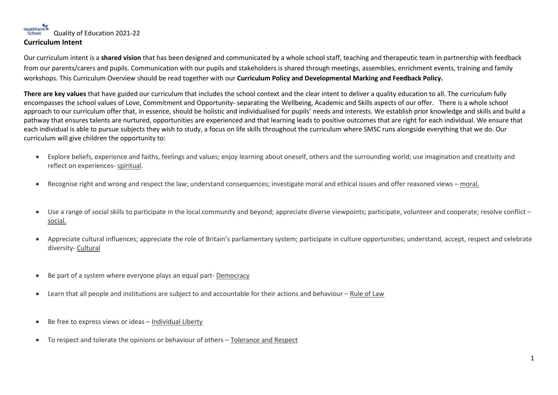## HeathFarm Cuality of Education 2021-22 **Curriculum Intent**

Our curriculum intent is a **shared vision** that has been designed and communicated by a whole school staff, teaching and therapeutic team in partnership with feedback from our parents/carers and pupils. Communication with our pupils and stakeholders is shared through meetings, assemblies, enrichment events, training and family workshops. This Curriculum Overview should be read together with our **Curriculum Policy and Developmental Marking and Feedback Policy.** 

**There are key values** that have guided our curriculum that includes the school context and the clear intent to deliver a quality education to all. The curriculum fully encompasses the school values of Love, Commitment and Opportunity- separating the Wellbeing, Academic and Skills aspects of our offer. There is a whole school approach to our curriculum offer that, in essence, should be holistic and individualised for pupils' needs and interests. We establish prior knowledge and skills and build a pathway that ensures talents are nurtured, opportunities are experienced and that learning leads to positive outcomes that are right for each individual. We ensure that each individual is able to pursue subjects they wish to study, a focus on life skills throughout the curriculum where SMSC runs alongside everything that we do. Our curriculum will give children the opportunity to:

- Explore beliefs, experience and faiths, feelings and values; enjoy learning about oneself, others and the surrounding world; use imagination and creativity and reflect on experiences- spiritual.
- Recognise right and wrong and respect the law; understand consequences; investigate moral and ethical issues and offer reasoned views moral.
- Use a range of social skills to participate in the local community and beyond; appreciate diverse viewpoints; participate, volunteer and cooperate; resolve conflict social.
- Appreciate cultural influences; appreciate the role of Britain's parliamentary system; participate in culture opportunities; understand, accept, respect and celebrate diversity- Cultural
- Be part of a system where everyone plays an equal part- Democracy
- Learn that all people and institutions are subject to and accountable for their actions and behaviour Rule of Law
- Be free to express views or ideas Individual Liberty
- To respect and tolerate the opinions or behaviour of others Tolerance and Respect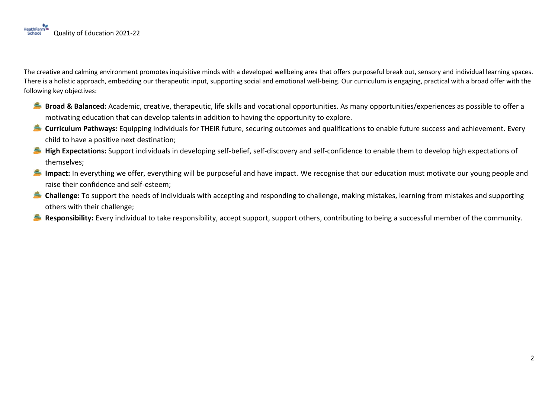The creative and calming environment promotes inquisitive minds with a developed wellbeing area that offers purposeful break out, sensory and individual learning spaces. There is a holistic approach, embedding our therapeutic input, supporting social and emotional well-being. Our curriculum is engaging, practical with a broad offer with the following key objectives:

- **Broad & Balanced:** Academic, creative, therapeutic, life skills and vocational opportunities. As many opportunities/experiences as possible to offer a motivating education that can develop talents in addition to having the opportunity to explore.
- **Curriculum Pathways:** Equipping individuals for THEIR future, securing outcomes and qualifications to enable future success and achievement. Every child to have a positive next destination;
- **High Expectations:** Support individuals in developing self-belief, self-discovery and self-confidence to enable them to develop high expectations of themselves;
- **Impact:** In everything we offer, everything will be purposeful and have impact. We recognise that our education must motivate our young people and raise their confidence and self-esteem;
- **Challenge:** To support the needs of individuals with accepting and responding to challenge, making mistakes, learning from mistakes and supporting others with their challenge;
- **Responsibility:** Every individual to take responsibility, accept support, support others, contributing to being a successful member of the community.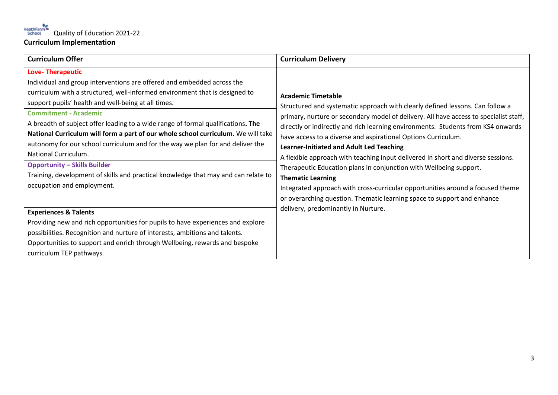| <b>Curriculum Offer</b>                                                                                                                                                                                                                                                                                                                                                                                                                                                                                                                                                                                                                                                                                               | <b>Curriculum Delivery</b>                                                                                                                                                                                                                                                                                                                                                                                                                                                                                                                                                                                                                                                                                                                                     |
|-----------------------------------------------------------------------------------------------------------------------------------------------------------------------------------------------------------------------------------------------------------------------------------------------------------------------------------------------------------------------------------------------------------------------------------------------------------------------------------------------------------------------------------------------------------------------------------------------------------------------------------------------------------------------------------------------------------------------|----------------------------------------------------------------------------------------------------------------------------------------------------------------------------------------------------------------------------------------------------------------------------------------------------------------------------------------------------------------------------------------------------------------------------------------------------------------------------------------------------------------------------------------------------------------------------------------------------------------------------------------------------------------------------------------------------------------------------------------------------------------|
| <b>Love-Therapeutic</b><br>Individual and group interventions are offered and embedded across the<br>curriculum with a structured, well-informed environment that is designed to<br>support pupils' health and well-being at all times.<br><b>Commitment - Academic</b><br>A breadth of subject offer leading to a wide range of formal qualifications. The<br>National Curriculum will form a part of our whole school curriculum. We will take<br>autonomy for our school curriculum and for the way we plan for and deliver the<br>National Curriculum.<br><b>Opportunity - Skills Builder</b><br>Training, development of skills and practical knowledge that may and can relate to<br>occupation and employment. | <b>Academic Timetable</b><br>Structured and systematic approach with clearly defined lessons. Can follow a<br>primary, nurture or secondary model of delivery. All have access to specialist staff,<br>directly or indirectly and rich learning environments. Students from KS4 onwards<br>have access to a diverse and aspirational Options Curriculum.<br><b>Learner-Initiated and Adult Led Teaching</b><br>A flexible approach with teaching input delivered in short and diverse sessions.<br>Therapeutic Education plans in conjunction with Wellbeing support.<br><b>Thematic Learning</b><br>Integrated approach with cross-curricular opportunities around a focused theme<br>or overarching question. Thematic learning space to support and enhance |
| <b>Experiences &amp; Talents</b><br>Providing new and rich opportunities for pupils to have experiences and explore<br>possibilities. Recognition and nurture of interests, ambitions and talents.<br>Opportunities to support and enrich through Wellbeing, rewards and bespoke<br>curriculum TEP pathways.                                                                                                                                                                                                                                                                                                                                                                                                          | delivery, predominantly in Nurture.                                                                                                                                                                                                                                                                                                                                                                                                                                                                                                                                                                                                                                                                                                                            |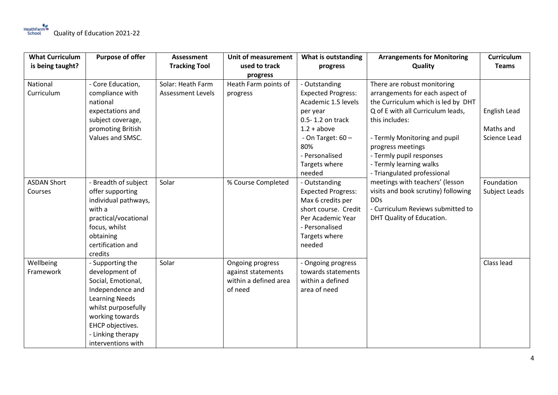| <b>What Curriculum</b>        | <b>Purpose of offer</b>                                                                                                                                                                                        | <b>Assessment</b>                             | <b>Unit of measurement</b>                                                 | What is outstanding                                                                                                                                       | <b>Arrangements for Monitoring</b>                                                                                                                     | Curriculum                  |
|-------------------------------|----------------------------------------------------------------------------------------------------------------------------------------------------------------------------------------------------------------|-----------------------------------------------|----------------------------------------------------------------------------|-----------------------------------------------------------------------------------------------------------------------------------------------------------|--------------------------------------------------------------------------------------------------------------------------------------------------------|-----------------------------|
| is being taught?              |                                                                                                                                                                                                                | <b>Tracking Tool</b>                          | used to track                                                              | progress                                                                                                                                                  | Quality                                                                                                                                                | <b>Teams</b>                |
|                               |                                                                                                                                                                                                                |                                               | progress                                                                   |                                                                                                                                                           |                                                                                                                                                        |                             |
| National<br>Curriculum        | - Core Education,<br>compliance with<br>national                                                                                                                                                               | Solar: Heath Farm<br><b>Assessment Levels</b> | Heath Farm points of<br>progress                                           | - Outstanding<br><b>Expected Progress:</b><br>Academic 1.5 levels                                                                                         | There are robust monitoring<br>arrangements for each aspect of<br>the Curriculum which is led by DHT                                                   |                             |
|                               | expectations and<br>subject coverage,                                                                                                                                                                          |                                               |                                                                            | per year<br>0.5-1.2 on track                                                                                                                              | Q of E with all Curriculum leads,<br>this includes:                                                                                                    | English Lead                |
|                               | promoting British<br>Values and SMSC.                                                                                                                                                                          |                                               |                                                                            | $1.2 + above$<br>- On Target: $60 -$<br>80%<br>- Personalised<br>Targets where<br>needed                                                                  | - Termly Monitoring and pupil<br>progress meetings<br>- Termly pupil responses<br>- Termly learning walks<br>- Triangulated professional               | Maths and<br>Science Lead   |
| <b>ASDAN Short</b><br>Courses | - Breadth of subject<br>offer supporting<br>individual pathways,<br>with a<br>practical/vocational<br>focus, whilst<br>obtaining<br>certification and<br>credits                                               | Solar                                         | % Course Completed                                                         | - Outstanding<br><b>Expected Progress:</b><br>Max 6 credits per<br>short course. Credit<br>Per Academic Year<br>- Personalised<br>Targets where<br>needed | meetings with teachers' (lesson<br>visits and book scrutiny) following<br><b>DDs</b><br>- Curriculum Reviews submitted to<br>DHT Quality of Education. | Foundation<br>Subject Leads |
| Wellbeing<br>Framework        | - Supporting the<br>development of<br>Social, Emotional,<br>Independence and<br><b>Learning Needs</b><br>whilst purposefully<br>working towards<br>EHCP objectives.<br>- Linking therapy<br>interventions with | Solar                                         | Ongoing progress<br>against statements<br>within a defined area<br>of need | - Ongoing progress<br>towards statements<br>within a defined<br>area of need                                                                              |                                                                                                                                                        | Class lead                  |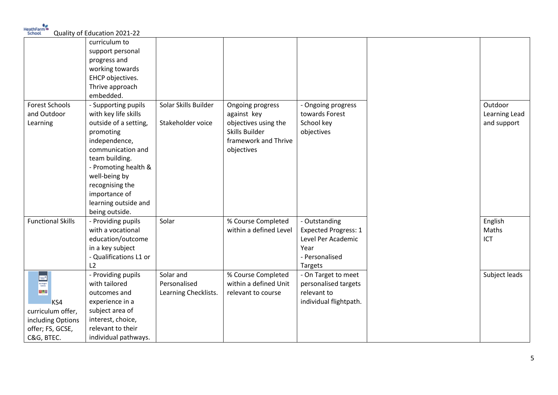| School                                  | Quality of Education 2021-22 |                      |                        |                             |               |
|-----------------------------------------|------------------------------|----------------------|------------------------|-----------------------------|---------------|
|                                         | curriculum to                |                      |                        |                             |               |
|                                         | support personal             |                      |                        |                             |               |
|                                         | progress and                 |                      |                        |                             |               |
|                                         | working towards              |                      |                        |                             |               |
|                                         | EHCP objectives.             |                      |                        |                             |               |
|                                         | Thrive approach              |                      |                        |                             |               |
|                                         | embedded.                    |                      |                        |                             |               |
| <b>Forest Schools</b>                   | - Supporting pupils          | Solar Skills Builder | Ongoing progress       | - Ongoing progress          | Outdoor       |
| and Outdoor                             | with key life skills         |                      | against key            | towards Forest              | Learning Lead |
| Learning                                | outside of a setting,        | Stakeholder voice    | objectives using the   | School key                  | and support   |
|                                         | promoting                    |                      | Skills Builder         | objectives                  |               |
|                                         | independence,                |                      | framework and Thrive   |                             |               |
|                                         | communication and            |                      | objectives             |                             |               |
|                                         | team building.               |                      |                        |                             |               |
|                                         | - Promoting health &         |                      |                        |                             |               |
|                                         | well-being by                |                      |                        |                             |               |
|                                         | recognising the              |                      |                        |                             |               |
|                                         | importance of                |                      |                        |                             |               |
|                                         | learning outside and         |                      |                        |                             |               |
|                                         | being outside.               |                      |                        |                             |               |
| <b>Functional Skills</b>                | - Providing pupils           | Solar                | % Course Completed     | - Outstanding               | English       |
|                                         | with a vocational            |                      | within a defined Level | <b>Expected Progress: 1</b> | Maths         |
|                                         | education/outcome            |                      |                        | Level Per Academic          | ICT           |
|                                         | in a key subject             |                      |                        | Year                        |               |
|                                         | - Qualifications L1 or       |                      |                        | - Personalised              |               |
|                                         | L2                           |                      |                        | Targets                     |               |
|                                         | - Providing pupils           | Solar and            | % Course Completed     | - On Target to meet         | Subject leads |
| <b>Excess</b><br>Key Stage 4<br>Options | with tailored                | Personalised         | within a defined Unit  | personalised targets        |               |
| $  \cdot   \circ   \cdot  $             | outcomes and                 | Learning Checklists. | relevant to course     | relevant to                 |               |
| KS4                                     | experience in a              |                      |                        | individual flightpath.      |               |
| curriculum offer,                       | subject area of              |                      |                        |                             |               |
| including Options                       | interest, choice,            |                      |                        |                             |               |
| offer; FS, GCSE,                        | relevant to their            |                      |                        |                             |               |
| C&G, BTEC.                              | individual pathways.         |                      |                        |                             |               |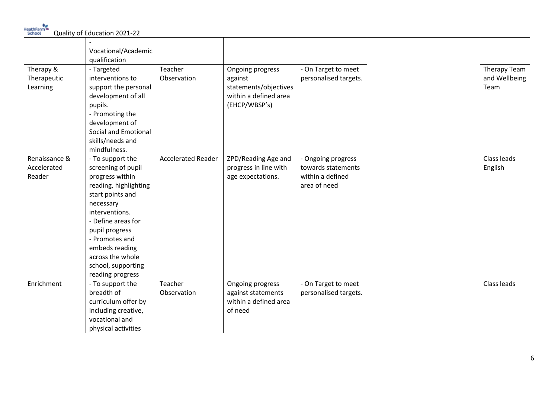HeathFarm Quality of Education 2021-22

|               | Vocational/Academic   |                           |                       |                       |               |
|---------------|-----------------------|---------------------------|-----------------------|-----------------------|---------------|
|               | qualification         |                           |                       |                       |               |
| Therapy &     | - Targeted            | Teacher                   | Ongoing progress      | - On Target to meet   | Therapy Team  |
| Therapeutic   | interventions to      | Observation               | against               | personalised targets. | and Wellbeing |
|               | support the personal  |                           | statements/objectives |                       | Team          |
| Learning      |                       |                           |                       |                       |               |
|               | development of all    |                           | within a defined area |                       |               |
|               | pupils.               |                           | (EHCP/WBSP's)         |                       |               |
|               | - Promoting the       |                           |                       |                       |               |
|               | development of        |                           |                       |                       |               |
|               | Social and Emotional  |                           |                       |                       |               |
|               | skills/needs and      |                           |                       |                       |               |
|               | mindfulness.          |                           |                       |                       |               |
| Renaissance & | - To support the      | <b>Accelerated Reader</b> | ZPD/Reading Age and   | - Ongoing progress    | Class leads   |
| Accelerated   | screening of pupil    |                           | progress in line with | towards statements    | English       |
| Reader        | progress within       |                           | age expectations.     | within a defined      |               |
|               | reading, highlighting |                           |                       | area of need          |               |
|               | start points and      |                           |                       |                       |               |
|               | necessary             |                           |                       |                       |               |
|               | interventions.        |                           |                       |                       |               |
|               | - Define areas for    |                           |                       |                       |               |
|               | pupil progress        |                           |                       |                       |               |
|               | - Promotes and        |                           |                       |                       |               |
|               | embeds reading        |                           |                       |                       |               |
|               | across the whole      |                           |                       |                       |               |
|               | school, supporting    |                           |                       |                       |               |
|               | reading progress      |                           |                       |                       |               |
| Enrichment    | - To support the      | Teacher                   | Ongoing progress      | - On Target to meet   | Class leads   |
|               | breadth of            | Observation               | against statements    | personalised targets. |               |
|               | curriculum offer by   |                           | within a defined area |                       |               |
|               | including creative,   |                           | of need               |                       |               |
|               | vocational and        |                           |                       |                       |               |
|               |                       |                           |                       |                       |               |
|               | physical activities   |                           |                       |                       |               |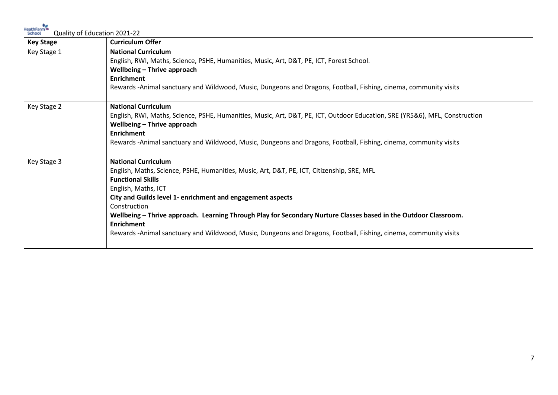HeathFarm<br>
School **Quality of Education 2021-22** 

| <b>Key Stage</b> | <b>Curriculum Offer</b>                                                                                                                                    |
|------------------|------------------------------------------------------------------------------------------------------------------------------------------------------------|
| Key Stage 1      | <b>National Curriculum</b><br>English, RWI, Maths, Science, PSHE, Humanities, Music, Art, D&T, PE, ICT, Forest School.<br>Wellbeing - Thrive approach      |
|                  | <b>Enrichment</b>                                                                                                                                          |
|                  | Rewards -Animal sanctuary and Wildwood, Music, Dungeons and Dragons, Football, Fishing, cinema, community visits                                           |
| Key Stage 2      | <b>National Curriculum</b>                                                                                                                                 |
|                  | English, RWI, Maths, Science, PSHE, Humanities, Music, Art, D&T, PE, ICT, Outdoor Education, SRE (YR5&6), MFL, Construction<br>Wellbeing - Thrive approach |
|                  | <b>Enrichment</b>                                                                                                                                          |
|                  | Rewards -Animal sanctuary and Wildwood, Music, Dungeons and Dragons, Football, Fishing, cinema, community visits                                           |
| Key Stage 3      | <b>National Curriculum</b>                                                                                                                                 |
|                  | English, Maths, Science, PSHE, Humanities, Music, Art, D&T, PE, ICT, Citizenship, SRE, MFL                                                                 |
|                  | <b>Functional Skills</b>                                                                                                                                   |
|                  | English, Maths, ICT                                                                                                                                        |
|                  | City and Guilds level 1- enrichment and engagement aspects                                                                                                 |
|                  | Construction                                                                                                                                               |
|                  | Wellbeing - Thrive approach. Learning Through Play for Secondary Nurture Classes based in the Outdoor Classroom.                                           |
|                  | <b>Enrichment</b>                                                                                                                                          |
|                  | Rewards -Animal sanctuary and Wildwood, Music, Dungeons and Dragons, Football, Fishing, cinema, community visits                                           |
|                  |                                                                                                                                                            |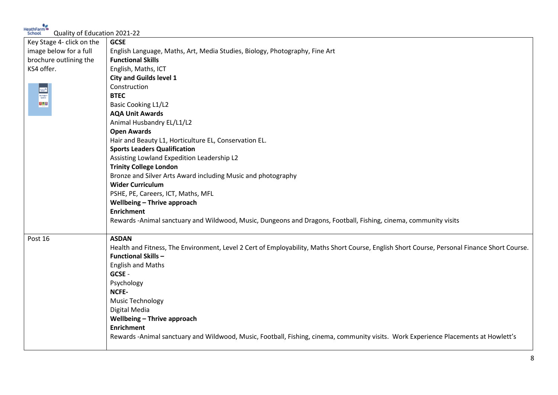HeathFarm Quality of Education 2021-22

| Key Stage 4- click on the | <b>GCSE</b>                                                                                                                                  |
|---------------------------|----------------------------------------------------------------------------------------------------------------------------------------------|
| image below for a full    | English Language, Maths, Art, Media Studies, Biology, Photography, Fine Art                                                                  |
| brochure outlining the    | <b>Functional Skills</b>                                                                                                                     |
| KS4 offer.                | English, Maths, ICT                                                                                                                          |
|                           | <b>City and Guilds level 1</b>                                                                                                               |
|                           | Construction                                                                                                                                 |
|                           | <b>BTEC</b>                                                                                                                                  |
|                           | <b>Basic Cooking L1/L2</b>                                                                                                                   |
|                           | <b>AQA Unit Awards</b>                                                                                                                       |
|                           | Animal Husbandry EL/L1/L2                                                                                                                    |
|                           | <b>Open Awards</b>                                                                                                                           |
|                           | Hair and Beauty L1, Horticulture EL, Conservation EL.                                                                                        |
|                           | <b>Sports Leaders Qualification</b>                                                                                                          |
|                           | Assisting Lowland Expedition Leadership L2                                                                                                   |
|                           | <b>Trinity College London</b>                                                                                                                |
|                           | Bronze and Silver Arts Award including Music and photography                                                                                 |
|                           | <b>Wider Curriculum</b>                                                                                                                      |
|                           | PSHE, PE, Careers, ICT, Maths, MFL                                                                                                           |
|                           | Wellbeing - Thrive approach                                                                                                                  |
|                           | <b>Enrichment</b>                                                                                                                            |
|                           | Rewards -Animal sanctuary and Wildwood, Music, Dungeons and Dragons, Football, Fishing, cinema, community visits                             |
| Post 16                   | <b>ASDAN</b>                                                                                                                                 |
|                           | Health and Fitness, The Environment, Level 2 Cert of Employability, Maths Short Course, English Short Course, Personal Finance Short Course. |
|                           | <b>Functional Skills-</b>                                                                                                                    |
|                           | <b>English and Maths</b>                                                                                                                     |
|                           | GCSE -                                                                                                                                       |
|                           | Psychology                                                                                                                                   |
|                           | NCFE-                                                                                                                                        |
|                           | <b>Music Technology</b>                                                                                                                      |
|                           | Digital Media                                                                                                                                |
|                           | Wellbeing - Thrive approach                                                                                                                  |
|                           | <b>Enrichment</b>                                                                                                                            |
|                           | Rewards -Animal sanctuary and Wildwood, Music, Football, Fishing, cinema, community visits. Work Experience Placements at Howlett's          |
|                           |                                                                                                                                              |